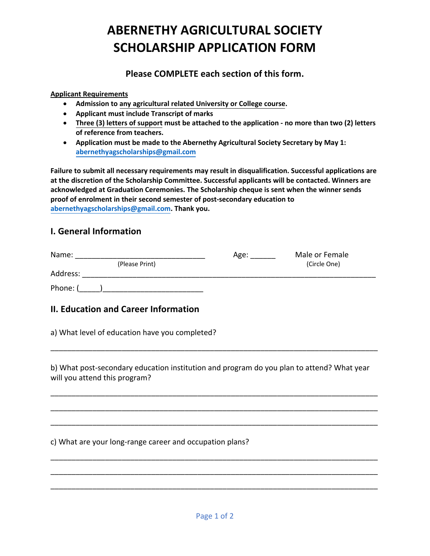# **ABERNETHY AGRICULTURAL SOCIETY SCHOLARSHIP APPLICATION FORM**

**Please COMPLETE each section of this form.**

#### **Applicant Requirements**

- **Admission to any agricultural related University or College course.**
- **Applicant must include Transcript of marks**
- **Three (3) letters of support must be attached to the application no more than two (2) letters of reference from teachers.**
- **Application must be made to the Abernethy Agricultural Society Secretary by May 1: abernethyagscholarships@gmail.com**

**Failure to submit all necessary requirements may result in disqualification. Successful applications are at the discretion of the Scholarship Committee. Successful applicants will be contacted. Winners are acknowledged at Graduation Ceremonies. The Scholarship cheque is sent when the winner sends proof of enrolment in their second semester of post-secondary education to abernethyagscholarships@gmail.com. Thank you.** 

# **I. General Information**

| Name:    |                | Age: | Male or Female |
|----------|----------------|------|----------------|
|          | (Please Print) |      | (Circle One)   |
| Address: |                |      |                |
| Phone: ( |                |      |                |

# **II. Education and Career Information**

a) What level of education have you completed?

b) What post-secondary education institution and program do you plan to attend? What year will you attend this program?

\_\_\_\_\_\_\_\_\_\_\_\_\_\_\_\_\_\_\_\_\_\_\_\_\_\_\_\_\_\_\_\_\_\_\_\_\_\_\_\_\_\_\_\_\_\_\_\_\_\_\_\_\_\_\_\_\_\_\_\_\_\_\_\_\_\_\_\_\_\_\_\_\_\_\_\_\_\_

\_\_\_\_\_\_\_\_\_\_\_\_\_\_\_\_\_\_\_\_\_\_\_\_\_\_\_\_\_\_\_\_\_\_\_\_\_\_\_\_\_\_\_\_\_\_\_\_\_\_\_\_\_\_\_\_\_\_\_\_\_\_\_\_\_\_\_\_\_\_\_\_\_\_\_\_\_\_

\_\_\_\_\_\_\_\_\_\_\_\_\_\_\_\_\_\_\_\_\_\_\_\_\_\_\_\_\_\_\_\_\_\_\_\_\_\_\_\_\_\_\_\_\_\_\_\_\_\_\_\_\_\_\_\_\_\_\_\_\_\_\_\_\_\_\_\_\_\_\_\_\_\_\_\_\_\_

\_\_\_\_\_\_\_\_\_\_\_\_\_\_\_\_\_\_\_\_\_\_\_\_\_\_\_\_\_\_\_\_\_\_\_\_\_\_\_\_\_\_\_\_\_\_\_\_\_\_\_\_\_\_\_\_\_\_\_\_\_\_\_\_\_\_\_\_\_\_\_\_\_\_\_\_\_\_

\_\_\_\_\_\_\_\_\_\_\_\_\_\_\_\_\_\_\_\_\_\_\_\_\_\_\_\_\_\_\_\_\_\_\_\_\_\_\_\_\_\_\_\_\_\_\_\_\_\_\_\_\_\_\_\_\_\_\_\_\_\_\_\_\_\_\_\_\_\_\_\_\_\_\_\_\_\_

\_\_\_\_\_\_\_\_\_\_\_\_\_\_\_\_\_\_\_\_\_\_\_\_\_\_\_\_\_\_\_\_\_\_\_\_\_\_\_\_\_\_\_\_\_\_\_\_\_\_\_\_\_\_\_\_\_\_\_\_\_\_\_\_\_\_\_\_\_\_\_\_\_\_\_\_\_\_

\_\_\_\_\_\_\_\_\_\_\_\_\_\_\_\_\_\_\_\_\_\_\_\_\_\_\_\_\_\_\_\_\_\_\_\_\_\_\_\_\_\_\_\_\_\_\_\_\_\_\_\_\_\_\_\_\_\_\_\_\_\_\_\_\_\_\_\_\_\_\_\_\_\_\_\_\_\_

c) What are your long-range career and occupation plans?